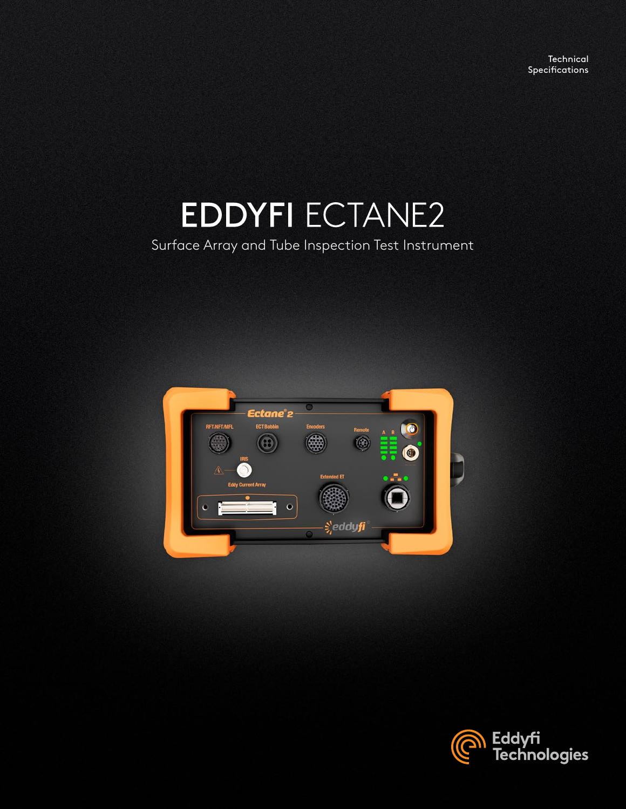**Technical** Specifications

# **EDDYFI ECTANE2**

## Surface Array and Tube Inspection Test Instrument



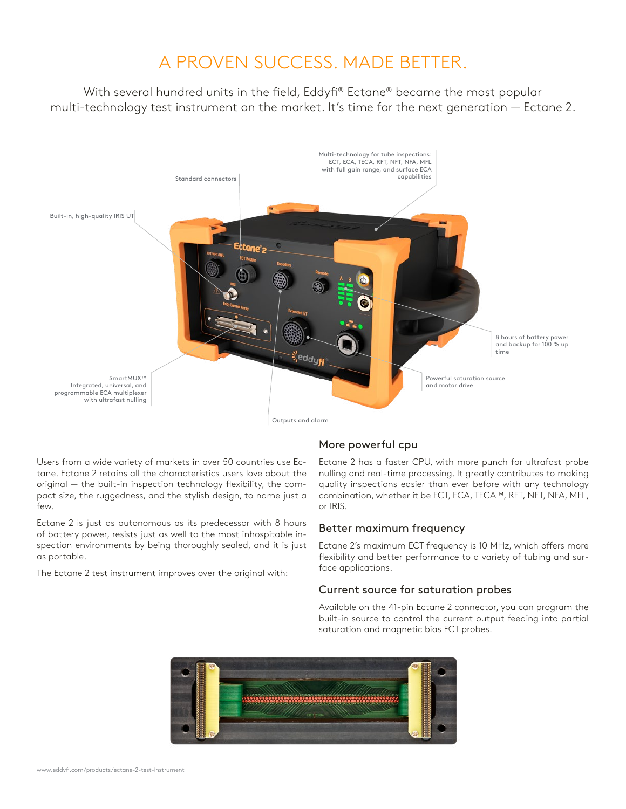# A PROVEN SUCCESS. MADE BETTER.

With several hundred units in the field, Eddyfi® Ectane® became the most popular multi-technology test instrument on the market. It's time for the next generation — Ectane 2.



Users from a wide variety of markets in over 50 countries use Ectane. Ectane 2 retains all the characteristics users love about the original — the built-in inspection technology flexibility, the compact size, the ruggedness, and the stylish design, to name just a few.

Ectane 2 is just as autonomous as its predecessor with 8 hours of battery power, resists just as well to the most inhospitable inspection environments by being thoroughly sealed, and it is just as portable.

The Ectane 2 test instrument improves over the original with:

## More powerful cpu

Ectane 2 has a faster CPU, with more punch for ultrafast probe nulling and real-time processing. It greatly contributes to making quality inspections easier than ever before with any technology combination, whether it be ECT, ECA, TECA™, RFT, NFT, NFA, MFL, or IRIS.

## Better maximum frequency

Ectane 2's maximum ECT frequency is 10 MHz, which offers more flexibility and better performance to a variety of tubing and surface applications.

## Current source for saturation probes

Available on the 41-pin Ectane 2 connector, you can program the built-in source to control the current output feeding into partial saturation and magnetic bias ECT probes.

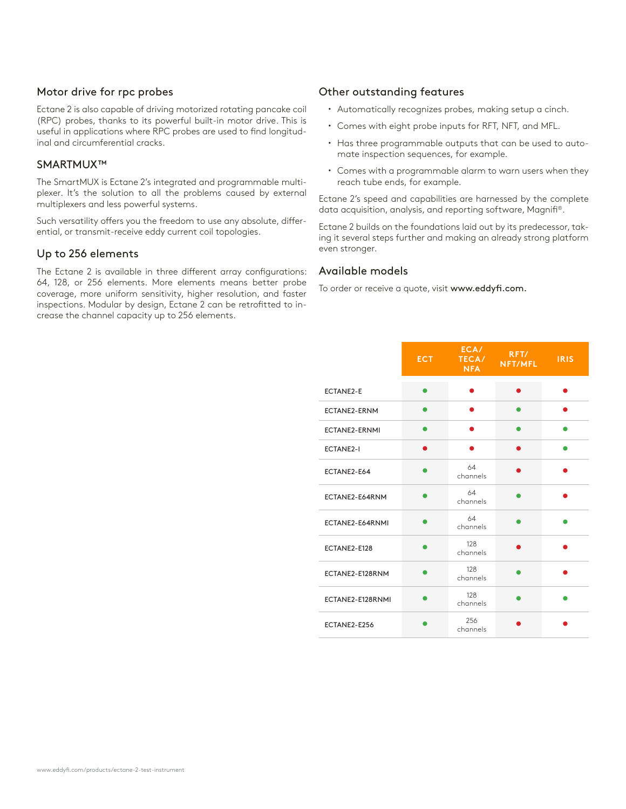#### Motor drive for rpc probes

Ectane 2 is also capable of driving motorized rotating pancake coil (RPC) probes, thanks to its powerful built-in motor drive. This is useful in applications where RPC probes are used to find longitudinal and circumferential cracks.

#### SMARTMUX™

The SmartMUX is Ectane 2's integrated and programmable multiplexer. It's the solution to all the problems caused by external multiplexers and less powerful systems.

Such versatility offers you the freedom to use any absolute, differential, or transmit-receive eddy current coil topologies.

#### Up to 256 elements

The Ectane 2 is available in three different array configurations: 64, 128, or 256 elements. More elements means better probe coverage, more uniform sensitivity, higher resolution, and faster inspections. Modular by design, Ectane 2 can be retrofitted to increase the channel capacity up to 256 elements.

#### Other outstanding features

- Automatically recognizes probes, making setup a cinch.
- Comes with eight probe inputs for RFT, NFT, and MFL.
- Has three programmable outputs that can be used to automate inspection sequences, for example.
- Comes with a programmable alarm to warn users when they reach tube ends, for example.

Ectane 2's speed and capabilities are harnessed by the complete data acquisition, analysis, and reporting software, Magnifi®.

Ectane 2 builds on the foundations laid out by its predecessor, taking it several steps further and making an already strong platform even stronger.

#### Available models

To order or receive a quote, visit www.eddyfi.com.

|                      | ECT. | ECA/<br>TECA/<br><b>NFA</b> | RFT/<br><b>NFT/MFL</b> | <b>IRIS</b> |
|----------------------|------|-----------------------------|------------------------|-------------|
| <b>ECTANE2-E</b>     |      |                             | ●                      |             |
| <b>ECTANE2-ERNM</b>  |      |                             |                        |             |
| <b>ECTANE2-ERNMI</b> |      |                             |                        |             |
| <b>ECTANE2-I</b>     |      |                             |                        |             |
| ECTANE2-E64          |      | 64<br>channels              | Δ                      |             |
| ECTANE2-E64RNM       |      | 64<br>channels              |                        |             |
| ECTANE2-E64RNMI      |      | 64<br>channels              |                        |             |
| ECTANE2-E128         |      | 128<br>channels             |                        |             |
| ECTANE2-E128RNM      |      | 128<br>channels             |                        |             |
| ECTANE2-E128RNMI     |      | 128<br>channels             |                        |             |
| ECTANE2-E256         |      | 256<br>channels             |                        |             |